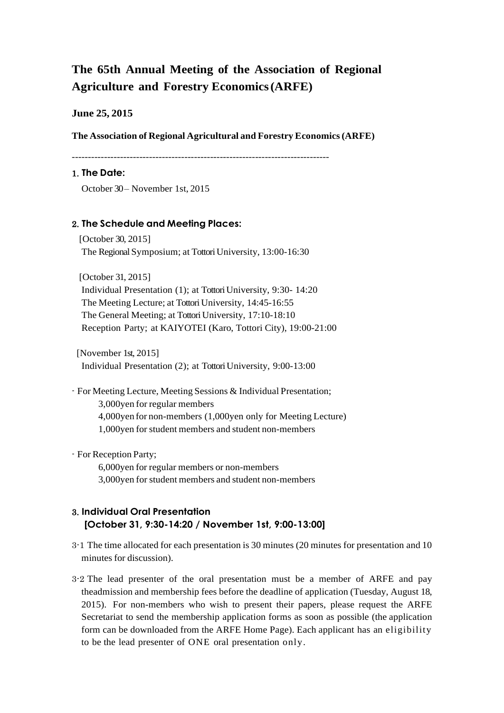# **The 65th Annual Meeting of the Association of Regional Agriculture and Forestry Economics(ARFE)**

#### **June 25, 2015**

**The Association of Regional Agricultural and Forestry Economics(ARFE)**

--------------------------------------------------------------------------------

#### 1. **The Date:**

October 30 – November 1st, 2015

#### 2. **The Schedule and Meeting Places:**

[October 30, 2015] The Regional Symposium; at Tottori University, 13:00-16:30

[October 31, 2015] Individual Presentation (1); at Tottori University, 9:30- 14:20 The Meeting Lecture; at Tottori University, 14:45-16:55 The General Meeting; at Tottori University, 17:10-18:10 Reception Party; at KAIYOTEI (Karo, Tottori City), 19:00-21:00

[November 1st, 2015] Individual Presentation (2); at Tottori University, 9:00-13:00

- For Meeting Lecture, Meeting Sessions & Individual Presentation; 3,000yen for regular members 4,000yen for non-members (1,000yen only for Meeting Lecture) 1,000yen for student members and student non-members

- For Reception Party;

6,000yen for regular members or non-members 3,000yen for student members and student non-members

## 3. **Individual Oral Presentation [October 31, 9:30-14:20 / November 1st, 9:00-13:00]**

- 3-1 The time allocated for each presentation is 30 minutes (20 minutes for presentation and 10 minutes for discussion).
- 3-2 The lead presenter of the oral presentation must be a member of ARFE and pay theadmission and membership fees before the deadline of application (Tuesday, August 18, 2015). For non-members who wish to present their papers, please request the ARFE Secretariat to send the membership application forms as soon as possible (the application form can be downloaded from the ARFE Home Page). Each applicant has an eligibility to be the lead presenter of ONE oral presentation only.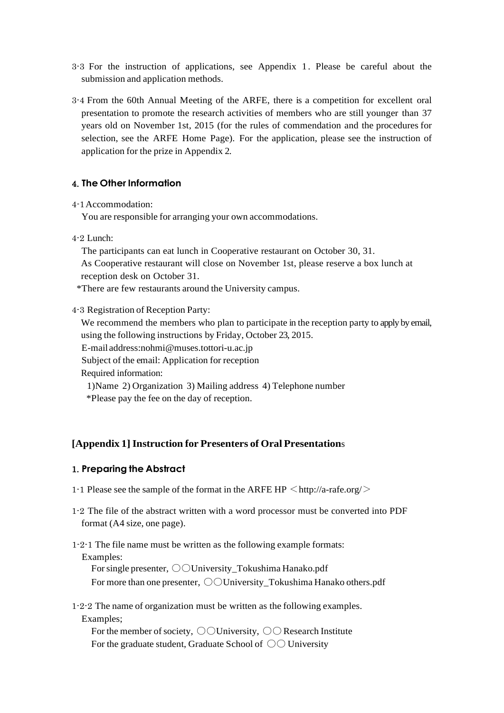- 3-3 For the instruction of applications, see Appendix 1. Please be careful about the submission and application methods.
- 3-4 From the 60th Annual Meeting of the ARFE, there is a competition for excellent oral presentation to promote the research activities of members who are still younger than 37 years old on November 1st, 2015 (for the rules of commendation and the procedures for selection, see the ARFE Home Page). For the application, please see the instruction of application for the prize in Appendix 2.

#### 4. **The Other Information**

4-1Accommodation:

You are responsible for arranging your own accommodations.

4-2 Lunch:

The participants can eat lunch in Cooperative restaurant on October 30, 31. As Cooperative restaurant will close on November 1st, please reserve a box lunch at reception desk on October 31.

\*There are few restaurants around the University campus.

4-3 Registration of Reception Party:

We recommend the members who plan to participate in the reception party to apply by email, using the following instructions by Friday, October 23, 2015. E-mail address:nohmi@muses.tottori-u.ac.jp

Subject of the email: Application for reception

Required information:

1)Name 2) Organization 3) Mailing address 4) Telephone number \*Please pay the fee on the day of reception.

#### **[Appendix 1]Instruction for Presenters of Oral Presentation**s

#### 1. **Preparing the Abstract**

- 1-1 Please see the sample of the format in the ARFE HP  $\langle$  http://a-rafe.org/ $>$
- 1-2 The file of the abstract written with a word processor must be converted into PDF format (A4 size, one page).
- 1-2-1 The file name must be written as the following example formats: Examples: For single presenter,  $\bigcirc$  University\_Tokushima Hanako.pdf For more than one presenter,  $\bigcirc$  University Tokushima Hanako others.pdf
- 1-2-2 The name of organization must be written as the following examples. Examples;

For the member of society,  $\bigcirc$  University,  $\bigcirc$  Research Institute For the graduate student, Graduate School of  $\bigcirc \bigcirc$  University